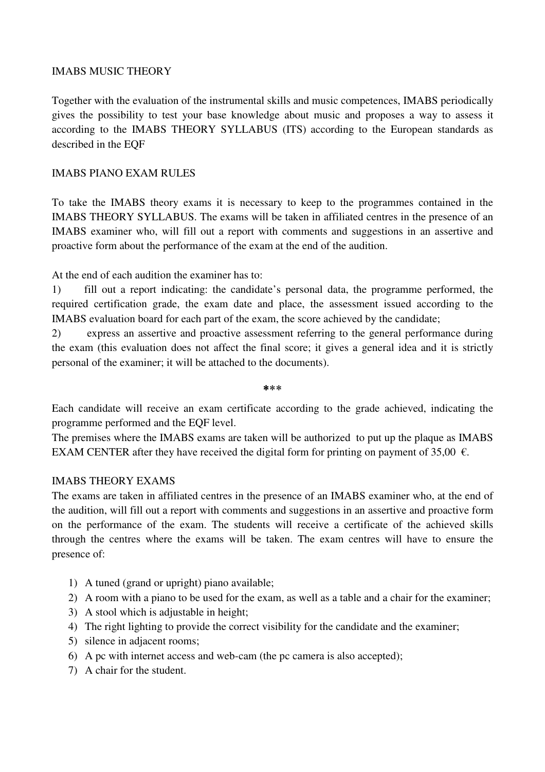#### IMABS MUSIC THEORY

Together with the evaluation of the instrumental skills and music competences, IMABS periodically gives the possibility to test your base knowledge about music and proposes a way to assess it according to the IMABS THEORY SYLLABUS (ITS) according to the European standards as described in the EQF

#### IMABS PIANO EXAM RULES

To take the IMABS theory exams it is necessary to keep to the programmes contained in the IMABS THEORY SYLLABUS. The exams will be taken in affiliated centres in the presence of an IMABS examiner who, will fill out a report with comments and suggestions in an assertive and proactive form about the performance of the exam at the end of the audition.

At the end of each audition the examiner has to:

1) fill out a report indicating: the candidate's personal data, the programme performed, the required certification grade, the exam date and place, the assessment issued according to the IMABS evaluation board for each part of the exam, the score achieved by the candidate;

2) express an assertive and proactive assessment referring to the general performance during the exam (this evaluation does not affect the final score; it gives a general idea and it is strictly personal of the examiner; it will be attached to the documents).

⃰ ⃰ ⃰

Each candidate will receive an exam certificate according to the grade achieved, indicating the programme performed and the EQF level.

The premises where the IMABS exams are taken will be authorized to put up the plaque as IMABS EXAM CENTER after they have received the digital form for printing on payment of 35,00  $\epsilon$ .

#### IMABS THEORY EXAMS

The exams are taken in affiliated centres in the presence of an IMABS examiner who, at the end of the audition, will fill out a report with comments and suggestions in an assertive and proactive form on the performance of the exam. The students will receive a certificate of the achieved skills through the centres where the exams will be taken. The exam centres will have to ensure the presence of:

- 1) A tuned (grand or upright) piano available;
- 2) A room with a piano to be used for the exam, as well as a table and a chair for the examiner;
- 3) A stool which is adjustable in height;
- 4) The right lighting to provide the correct visibility for the candidate and the examiner;
- 5) silence in adjacent rooms;
- 6) A pc with internet access and web-cam (the pc camera is also accepted);
- 7) A chair for the student.